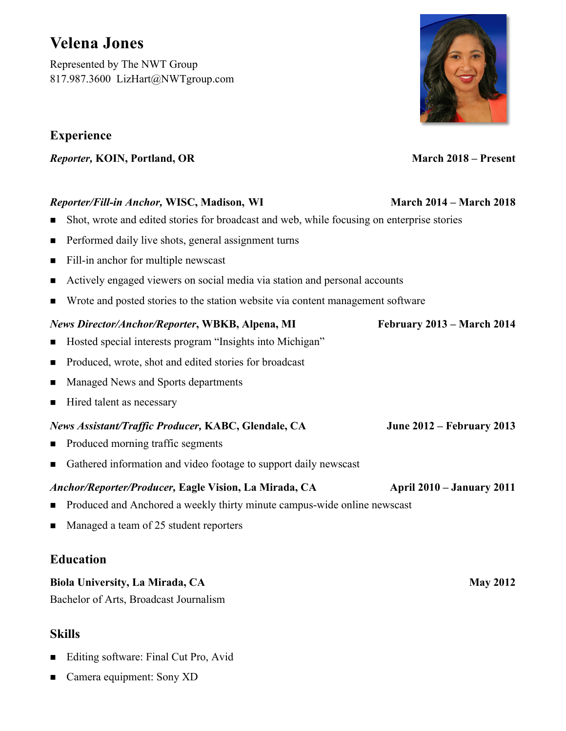# **Velena Jones**

Represented by The NWT Group 817.987.3600 LizHart@NWTgroup.com

# **Experience**

*Reporter,* **KOIN, Portland, OR March 2018 – Present**

### *Reporter/Fill-in Anchor,* **WISC, Madison, WI March 2014 – March 2018**

- n Shot, wrote and edited stories for broadcast and web, while focusing on enterprise stories
- Performed daily live shots, general assignment turns
- Fill-in anchor for multiple newscast
- n Actively engaged viewers on social media via station and personal accounts
- n Wrote and posted stories to the station website via content management software

#### *News Director/Anchor/Reporter***, WBKB, Alpena, MI February 2013 – March 2014**

- Hosted special interests program "Insights into Michigan"
- Produced, wrote, shot and edited stories for broadcast
- n Managed News and Sports departments
- $\blacksquare$  Hired talent as necessary

#### *News Assistant/Traffic Producer,* **KABC, Glendale, CA June 2012 – February 2013**

- Produced morning traffic segments
- Gathered information and video footage to support daily newscast

#### *Anchor/Reporter/Producer,* **Eagle Vision, La Mirada, CA April 2010 – January 2011**

- n Produced and Anchored a weekly thirty minute campus-wide online newscast
- Managed a team of 25 student reporters

### **Education**

#### **Biola University, La Mirada, CA** May 2012

Bachelor of Arts, Broadcast Journalism

## **Skills**

- Editing software: Final Cut Pro, Avid
- Camera equipment: Sony XD